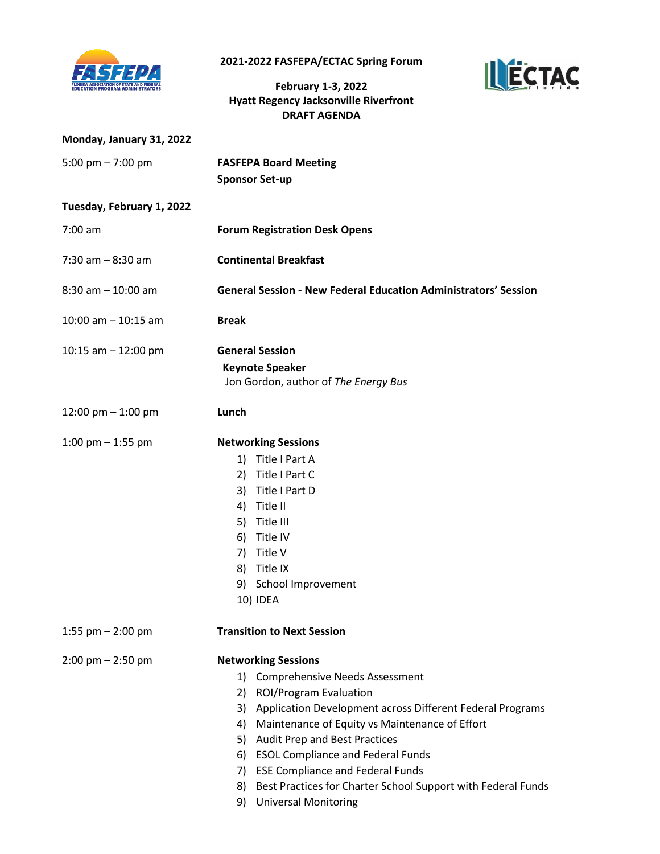

**2021-2022 FASFEPA/ECTAC Spring Forum** 

**February 1-3, 2022 Hyatt Regency Jacksonville Riverfront DRAFT AGENDA**



| Monday, January 31, 2022            |                                                                                                                                                                                                                                                                                                                                                                                                                                                                              |
|-------------------------------------|------------------------------------------------------------------------------------------------------------------------------------------------------------------------------------------------------------------------------------------------------------------------------------------------------------------------------------------------------------------------------------------------------------------------------------------------------------------------------|
| 5:00 pm $- 7:00$ pm                 | <b>FASFEPA Board Meeting</b><br><b>Sponsor Set-up</b>                                                                                                                                                                                                                                                                                                                                                                                                                        |
| Tuesday, February 1, 2022           |                                                                                                                                                                                                                                                                                                                                                                                                                                                                              |
| $7:00 \text{ am}$                   | <b>Forum Registration Desk Opens</b>                                                                                                                                                                                                                                                                                                                                                                                                                                         |
| $7:30$ am $-8:30$ am                | <b>Continental Breakfast</b>                                                                                                                                                                                                                                                                                                                                                                                                                                                 |
| $8:30$ am $-10:00$ am               | <b>General Session - New Federal Education Administrators' Session</b>                                                                                                                                                                                                                                                                                                                                                                                                       |
| $10:00$ am $-10:15$ am              | <b>Break</b>                                                                                                                                                                                                                                                                                                                                                                                                                                                                 |
| 10:15 am $-$ 12:00 pm               | <b>General Session</b><br><b>Keynote Speaker</b><br>Jon Gordon, author of The Energy Bus                                                                                                                                                                                                                                                                                                                                                                                     |
| 12:00 pm $-$ 1:00 pm                | Lunch                                                                                                                                                                                                                                                                                                                                                                                                                                                                        |
| 1:00 pm $-$ 1:55 pm                 | <b>Networking Sessions</b><br>1) Title I Part A<br>Title I Part C<br>2)<br>3) Title I Part D<br>Title II<br>4)<br>5) Title III<br>Title IV<br>6)<br>Title V<br>7)<br>Title IX<br>8)<br>School Improvement<br>9)<br>10) IDEA                                                                                                                                                                                                                                                  |
| 1:55 pm $-$ 2:00 pm                 | <b>Transition to Next Session</b>                                                                                                                                                                                                                                                                                                                                                                                                                                            |
| $2:00 \text{ pm} - 2:50 \text{ pm}$ | <b>Networking Sessions</b><br>1) Comprehensive Needs Assessment<br>ROI/Program Evaluation<br>2)<br>3)<br>Application Development across Different Federal Programs<br>Maintenance of Equity vs Maintenance of Effort<br>4)<br><b>Audit Prep and Best Practices</b><br>5)<br>6) ESOL Compliance and Federal Funds<br><b>ESE Compliance and Federal Funds</b><br>7)<br>Best Practices for Charter School Support with Federal Funds<br>8)<br><b>Universal Monitoring</b><br>9) |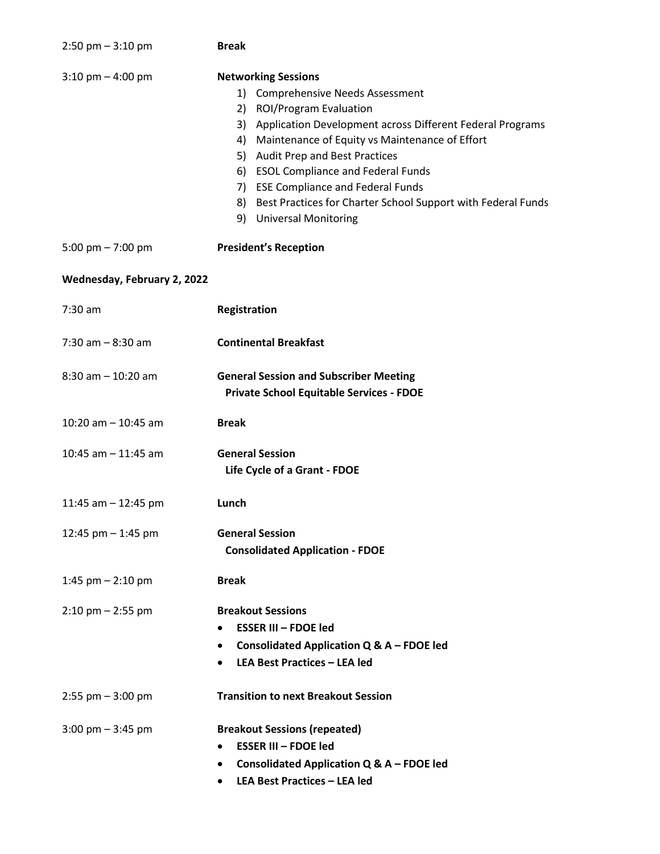| $2:50$ pm $-3:10$ pm                | <b>Break</b>                                                                                                                                                                                                                                                                                                                                                                                                                                    |
|-------------------------------------|-------------------------------------------------------------------------------------------------------------------------------------------------------------------------------------------------------------------------------------------------------------------------------------------------------------------------------------------------------------------------------------------------------------------------------------------------|
| $3:10 \text{ pm} - 4:00 \text{ pm}$ | <b>Networking Sessions</b><br>1) Comprehensive Needs Assessment<br>2) ROI/Program Evaluation<br>3) Application Development across Different Federal Programs<br>Maintenance of Equity vs Maintenance of Effort<br>4)<br>5) Audit Prep and Best Practices<br><b>ESOL Compliance and Federal Funds</b><br>6)<br>7) ESE Compliance and Federal Funds<br>8) Best Practices for Charter School Support with Federal Funds<br>9) Universal Monitoring |
| 5:00 pm $- 7:00$ pm                 | <b>President's Reception</b>                                                                                                                                                                                                                                                                                                                                                                                                                    |
| Wednesday, February 2, 2022         |                                                                                                                                                                                                                                                                                                                                                                                                                                                 |
| $7:30$ am                           | Registration                                                                                                                                                                                                                                                                                                                                                                                                                                    |
| $7:30$ am $-8:30$ am                | <b>Continental Breakfast</b>                                                                                                                                                                                                                                                                                                                                                                                                                    |
| $8:30$ am $-10:20$ am               | <b>General Session and Subscriber Meeting</b><br><b>Private School Equitable Services - FDOE</b>                                                                                                                                                                                                                                                                                                                                                |
| 10:20 am $-$ 10:45 am               | <b>Break</b>                                                                                                                                                                                                                                                                                                                                                                                                                                    |
| 10:45 am $-$ 11:45 am               | <b>General Session</b><br>Life Cycle of a Grant - FDOE                                                                                                                                                                                                                                                                                                                                                                                          |
| 11:45 am $-$ 12:45 pm               | Lunch                                                                                                                                                                                                                                                                                                                                                                                                                                           |
| 12:45 pm $-$ 1:45 pm                | <b>General Session</b><br><b>Consolidated Application - FDOE</b>                                                                                                                                                                                                                                                                                                                                                                                |
| 1:45 pm $-$ 2:10 pm                 | <b>Break</b>                                                                                                                                                                                                                                                                                                                                                                                                                                    |
| $2:10$ pm $- 2:55$ pm               | <b>Breakout Sessions</b><br><b>ESSER III - FDOE led</b><br>Consolidated Application Q & A - FDOE led<br>$\bullet$<br><b>LEA Best Practices - LEA led</b>                                                                                                                                                                                                                                                                                        |
| $2:55$ pm $-3:00$ pm                | <b>Transition to next Breakout Session</b>                                                                                                                                                                                                                                                                                                                                                                                                      |
| $3:00 \text{ pm} - 3:45 \text{ pm}$ | <b>Breakout Sessions (repeated)</b><br><b>ESSER III - FDOE led</b><br>Consolidated Application Q & A - FDOE led<br>٠<br><b>LEA Best Practices - LEA led</b><br>٠                                                                                                                                                                                                                                                                                |